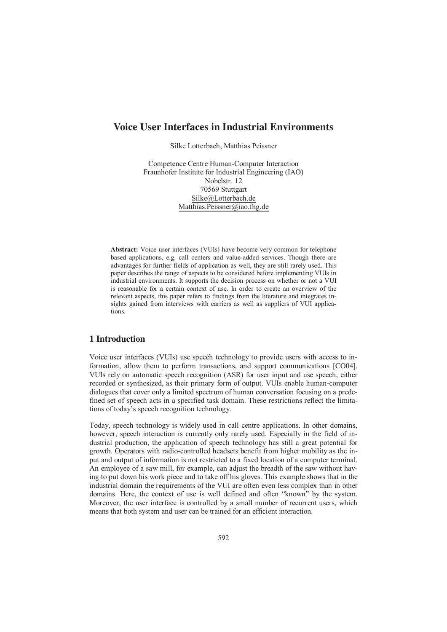# **Voice User Interfaces in Industrial Environments**

Silke Lotterbach, Matthias Peissner

Competence Centre Human-Computer Interaction Fraunhofer Institute for Industrial Engineering (IAO) Nobelstr. 12 70569 Stuttgart Silke@Lotterbach.de Matthias.Peissner@iao.fhg.de

Abstract: Voice user interfaces (VUIs) have become very common for telephone based applications, e.g. call centers and value-added services. Though there are advantages for further fields of application as well, they are still rarely used. This paper describes the range of aspects to be considered before implementing VUIs in industrial environments. It supports the decision process on whether or not a VUI is reasonable for a certain context of use. In order to create an overview of the relevant aspects, this paper refers to findings from the literature and integrates insights gained from interviews with carriers as well as suppliers of VUI applications.

### 1 Introduction

Voice user interfaces (VUIs) use speech technology to provide users with access to information, allow them to perform transactions, and support communications [CO04]. VUIs rely on automatic speech recognition (ASR) for user input and use speech, either recorded or synthesized, as their primary form of output. VUIs enable human-computer dialogues that cover only a limited spectrum of human conversation focusing on a predefined set of speech acts in a specified task domain. These restrictions reflect the limitations of today's speech recognition technology.

Today, speech technology is widely used in call centre applications. In other domains, however, speech interaction is currently only rarely used. Especially in the field of industrial production, the application of speech technology has still a great potential for growth. Operators with radio-controlled headsets benefit from higher mobility as the input and output of information is not restricted to a fixed location of a computer terminal. An employee of a saw mill, for example, can adjust the breadth of the saw without having to put down his work piece and to take off his gloves. This example shows that in the industrial domain the requirements of the VUI are often even less complex than in other domains. Here, the context of use is well defined and often "known" by the system. Moreover, the user interface is controlled by a small number of recurrent users, which means that both system and user can be trained for an efficient interaction.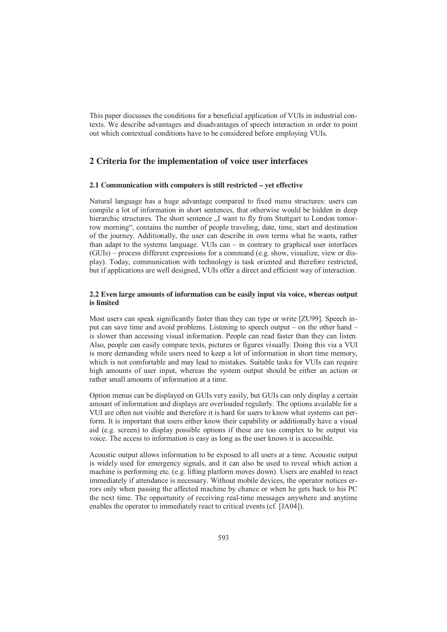This paper discusses the conditions for a beneficial application of VUIs in industrial contexts. We describe advantages and disadvantages of speech interaction in order to point out which contextual conditions have to be considered before employing VUIs.

# **2 Criteria for the implementation of voice user interfaces**

#### 2.1 Communication with computers is still restricted – yet effective

Natural language has a huge advantage compared to fixed menu structures: users can compile a lot of information in short sentences, that otherwise would be hidden in deep hierarchic structures. The short sentence  $\Lambda$  want to fly from Stuttgart to London tomorrow morning", contains the number of people traveling, date, time, start and destination of the journey. Additionally, the user can describe in own terms what he wants, rather than adapt to the systems language. VUIs can – in contrary to graphical user interfaces (GUIs) – process different expressions for a command (e.g. show, visualize, view or display). Today, communication with technology is task oriented and therefore restricted, but if applications are well designed, VUIs offer a direct and efficient way of interaction.

#### 2.2 Even large amounts of information can be easily input via voice, whereas output is limited

Most users can speak significantly faster than they can type or write [ZU99]. Speech input can save time and avoid problems. Listening to speech output – on the other hand – is slower than accessing visual information. People can read faster than they can listen. Also, people can easily compare texts, pictures or figures visually. Doing this via a VUI is more demanding while users need to keep a lot of information in short time memory, which is not comfortable and may lead to mistakes. Suitable tasks for VUIs can require high amounts of user input, whereas the system output should be either an action or rather small amounts of information at a time.

Option menus can be displayed on GUIs very easily, but GUIs can only display a certain amount of information and displays are overloaded regularly. The options available for a VUI are often not visible and therefore it is hard for users to know what systems can perform. It is important that users either know their capability or additionally have a visual aid (e.g. screen) to display possible options if these are too complex to be output via voice. The access to information is easy as long as the user knows it is accessible.

Acoustic output allows information to be exposed to all users at a time. Acoustic output is widely used for emergency signals, and it can also be used to reveal which action a machine is performing etc. (e.g. lifting platform moves down). Users are enabled to react immediately if attendance is necessary. Without mobile devices, the operator notices errors only when passing the affected machine by chance or when he gets back to his PC the next time. The opportunity of receiving real-time messages anywhere and anytime enables the operator to immediately react to critical events (cf. [JA04]).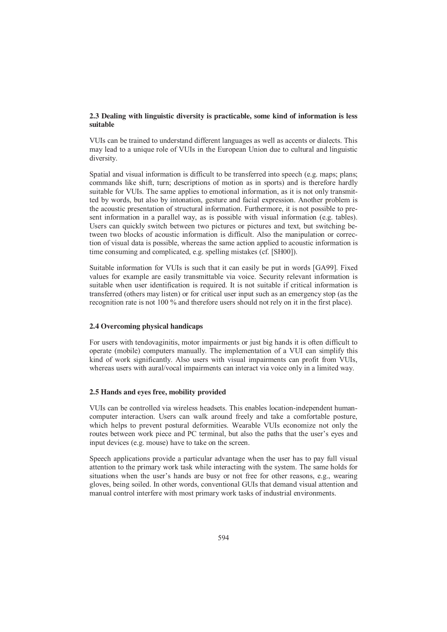### 2.3 Dealing with linguistic diversity is practicable, some kind of information is less suitable

VUIs can be trained to understand different languages as well as accents or dialects. This may lead to a unique role of VUIs in the European Union due to cultural and linguistic diversity.

Spatial and visual information is difficult to be transferred into speech (e.g. maps; plans; commands like shift, turn; descriptions of motion as in sports) and is therefore hardly suitable for VUIs. The same applies to emotional information, as it is not only transmitted by words, but also by intonation, gesture and facial expression. Another problem is the acoustic presentation of structural information. Furthermore, it is not possible to present information in a parallel way, as is possible with visual information (e.g. tables). Users can quickly switch between two pictures or pictures and text, but switching between two blocks of acoustic information is difficult. Also the manipulation or correction of visual data is possible, whereas the same action applied to acoustic information is time consuming and complicated, e.g. spelling mistakes (cf. [SH00]).

Suitable information for VUIs is such that it can easily be put in words [GA99]. Fixed values for example are easily transmittable via voice. Security relevant information is suitable when user identification is required. It is not suitable if critical information is transferred (others may listen) or for critical user input such as an emergency stop (as the recognition rate is not 100 % and therefore users should not rely on it in the first place).

#### 2.4 Overcoming physical handicaps

For users with tendovaginitis, motor impairments or just big hands it is often difficult to operate (mobile) computers manually. The implementation of a VUI can simplify this kind of work significantly. Also users with visual impairments can profit from VUIs, whereas users with aural/vocal impairments can interact via voice only in a limited way.

#### 2.5 Hands and eves free, mobility provided

VUIs can be controlled via wireless headsets. This enables location-independent humancomputer interaction. Users can walk around freely and take a comfortable posture, which helps to prevent postural deformities. Wearable VUIs economize not only the routes between work piece and PC terminal, but also the paths that the user's eyes and input devices (e.g. mouse) have to take on the screen.

Speech applications provide a particular advantage when the user has to pay full visual attention to the primary work task while interacting with the system. The same holds for situations when the user's hands are busy or not free for other reasons, e.g., wearing gloves, being soiled. In other words, conventional GUIs that demand visual attention and manual control interfere with most primary work tasks of industrial environments.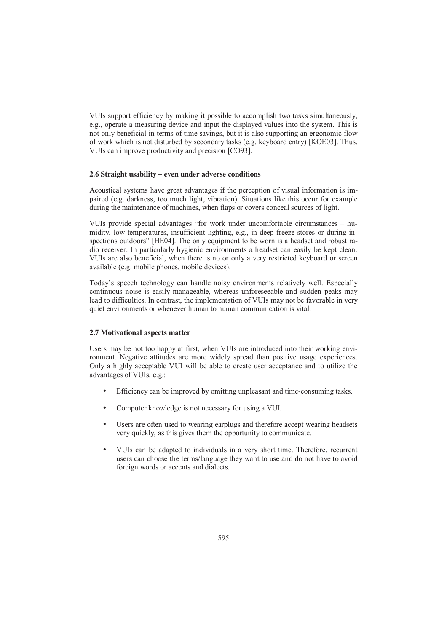VUIs support efficiency by making it possible to accomplish two tasks simultaneously, e.g., operate a measuring device and input the displayed values into the system. This is not only beneficial in terms of time savings, but it is also supporting an ergonomic flow of work which is not disturbed by secondary tasks (e.g. keyboard entry) [KOE03]. Thus, VUIs can improve productivity and precision [CO93].

#### 2.6 Straight usability – even under adverse conditions

Acoustical systems have great advantages if the perception of visual information is impaired (e.g. darkness, too much light, vibration). Situations like this occur for example during the maintenance of machines, when flaps or covers conceal sources of light.

VUIs provide special advantages "for work under uncomfortable circumstances – humidity, low temperatures, insufficient lighting, e.g., in deep freeze stores or during inspections outdoors" [HE04]. The only equipment to be worn is a headset and robust radio receiver. In particularly hygienic environments a headset can easily be kept clean. VUIs are also beneficial, when there is no or only a very restricted keyboard or screen available (e.g. mobile phones, mobile devices).

Today's speech technology can handle noisy environments relatively well. Especially continuous noise is easily manageable, whereas unforeseeable and sudden peaks may lead to difficulties. In contrast, the implementation of VUIs may not be favorable in very quiet environments or whenever human to human communication is vital.

#### 2.7 Motivational aspects matter

Users may be not too happy at first, when VUIs are introduced into their working environment. Negative attitudes are more widely spread than positive usage experiences. Only a highly acceptable VUI will be able to create user acceptance and to utilize the advantages of VUIs, e.g.:

- Efficiency can be improved by omitting unpleasant and time-consuming tasks.
- Computer knowledge is not necessary for using a VUI.
- Users are often used to wearing earplugs and therefore accept wearing headsets very quickly, as this gives them the opportunity to communicate.
- VUIs can be adapted to individuals in a very short time. Therefore, recurrent users can choose the terms/language they want to use and do not have to avoid foreign words or accents and dialects.